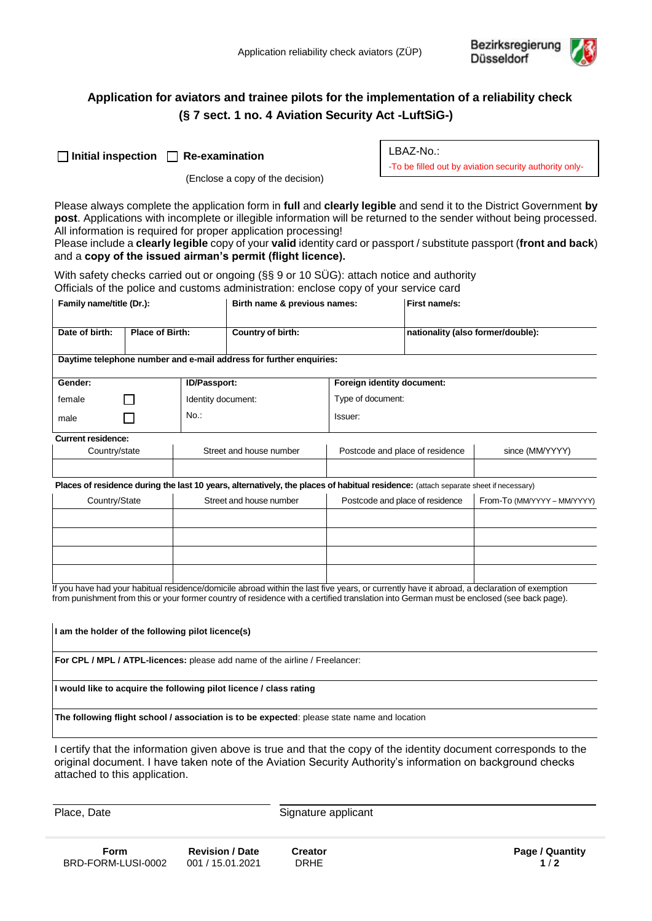

# **Application for aviators and trainee pilots for the implementation of a reliability check (§ 7 sect. 1 no. 4 Aviation Security Act -LuftSiG-)**

(Enclose a copy of the decision)

LBAZ-No.: -To be filled out by aviation security authority only-

Please always complete the application form in **full** and **clearly legible** and send it to the District Government **by post**. Applications with incomplete or illegible information will be returned to the sender without being processed. All information is required for proper application processing!

Please include a **clearly legible** copy of your **valid** identity card or passport / substitute passport (**front and back**) and a **copy of the issued airman's permit (flight licence).**

With safety checks carried out or ongoing (§§ 9 or 10 SÜG): attach notice and authority Officials of the police and customs administration: enclose copy of your service card

| Family name/title (Dr.):                                                                                                            |                        |                         | Birth name & previous names: |                                 | First name/s:                     |                             |  |  |  |
|-------------------------------------------------------------------------------------------------------------------------------------|------------------------|-------------------------|------------------------------|---------------------------------|-----------------------------------|-----------------------------|--|--|--|
| Date of birth:                                                                                                                      | <b>Place of Birth:</b> |                         | Country of birth:            |                                 | nationality (also former/double): |                             |  |  |  |
| Daytime telephone number and e-mail address for further enquiries:                                                                  |                        |                         |                              |                                 |                                   |                             |  |  |  |
| Gender:                                                                                                                             |                        | <b>ID/Passport:</b>     |                              | Foreign identity document:      |                                   |                             |  |  |  |
| female                                                                                                                              |                        | Identity document:      |                              | Type of document:               |                                   |                             |  |  |  |
| male                                                                                                                                |                        | No.                     |                              | Issuer:                         |                                   |                             |  |  |  |
| <b>Current residence:</b>                                                                                                           |                        |                         |                              |                                 |                                   |                             |  |  |  |
| Country/state                                                                                                                       |                        | Street and house number |                              | Postcode and place of residence |                                   | since (MM/YYYY)             |  |  |  |
|                                                                                                                                     |                        |                         |                              |                                 |                                   |                             |  |  |  |
| Places of residence during the last 10 years, alternatively, the places of habitual residence: (attach separate sheet if necessary) |                        |                         |                              |                                 |                                   |                             |  |  |  |
| Country/State                                                                                                                       |                        | Street and house number |                              | Postcode and place of residence |                                   | From-To (MM/YYYY - MM/YYYY) |  |  |  |
|                                                                                                                                     |                        |                         |                              |                                 |                                   |                             |  |  |  |

If you have had your habitual residence/domicile abroad within the last five years, or currently have it abroad, a declaration of exemption from punishment from this or your former country of residence with a certified translation into German must be enclosed (see back page).

**I am the holder of the following pilot licence(s)**

**For CPL / MPL / ATPL-licences:** please add name of the airline / Freelancer:

**I would like to acquire the following pilot licence / class rating**

**The following flight school / association is to be expected**: please state name and location

I certify that the information given above is true and that the copy of the identity document corresponds to the original document. I have taken note of the Aviation Security Authority's information on background checks attached to this application.

Place, Date Signature applicant